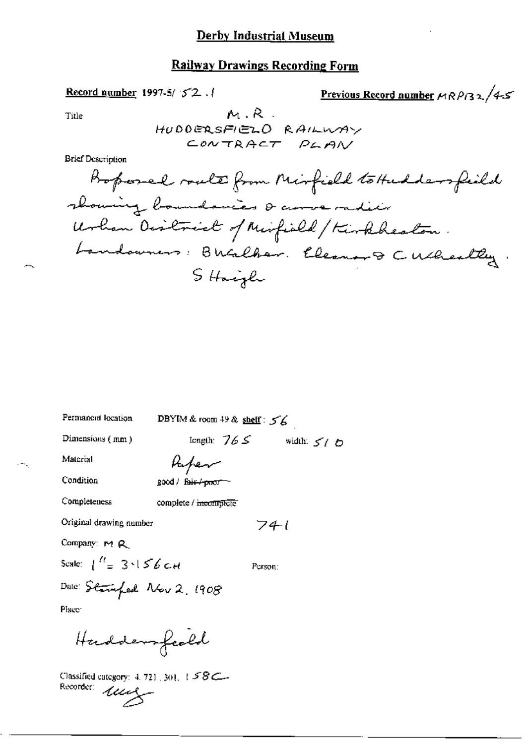Record number 1997-5/52.

$$
\frac{\text{Previous Record number}}{\text{MR} \beta \beta \lambda} / 4.5
$$

Title

 $M.R.$ HUDDERSFIELD RAILWAY CONTRACT PLAN

**Brief Description** 

DBYIM & room 49 & shelf: 56 Permanent location length:  $765$  width:  $575$ Dimensions (mm) Material Aufer Condition good / fair / poor-Completeness complete / meantplete Original drawing number  $741$ Company: M R Scale:  $\int_{0}^{R}$  3  $\sqrt{56}$  c H Person: Date: Stangfed Nov 2, 1908 Place: Harddensfeeld

Classified category:  $4.721,301,158$ Classimonter  $u$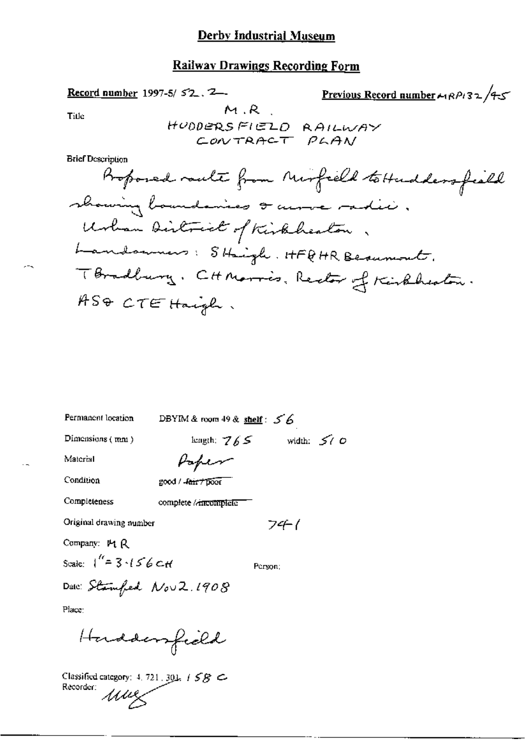# Derby Industrial Museum

## **Railway Drawings Recording Form**

Previous Record number  $\leftarrow$  RPi32/4-5 Record number 1997-5/52.2- $M.R$ Title HUDDERSFIELD RAILWAY CONTRACT PLAN **Brief Description** Proposed route from Mirfield to Hudders field showing boundaries & across radie,

| Permanent location       | DBYIM & room $49$ & shelf: $56$    |
|--------------------------|------------------------------------|
| Dimensions (mm)          | width: $50^\circ$<br>length: $765$ |
| Material                 | Popen                              |
| Condition                | good / fair / poor                 |
| Completeness             | complete <i>l'incomplete</i>       |
| Original drawing number  | 74-1                               |
| Company: 14 R            |                                    |
| Scale: $1'' = 3.156c$    | Person:                            |
| Date: Stamfed Nov 2.1908 |                                    |
| Place:                   |                                    |
| Horddenfield             |                                    |

Classified category: 4, 721, 301, 1 S & Recorder: umz

 $-1$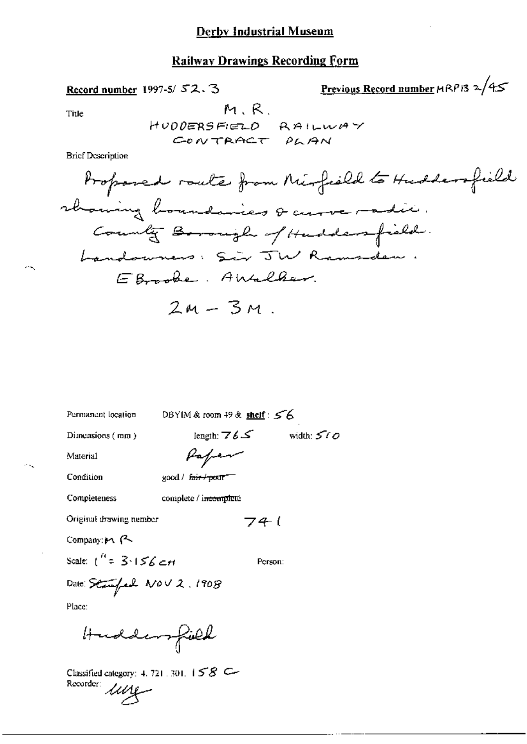## **Derby Industrial Museum**

# **Railway Drawings Recording Form**

Record number 1997-5/52.3

Previous Record number 
$$
MRP13
$$
  $\approx$  /45

Title

**Brief Description** 

Permanent location

DBYIM & room 49 & shelf: 56

Dimensions (mm)

length: 
$$
76.5
$$
 width:  $560$   
Par<sub>per</sub>

Condition

Material

чQ

good / fair / pour

**Completeness** 

complete / incompleté

Original drawing nember

Company: 19 P

Scale:  $1^{n}$  = 3.156 cH

Person:

741

Place:

Huddersfield

Classified category: 4, 721, 301,  $158$ Recorder *Lung*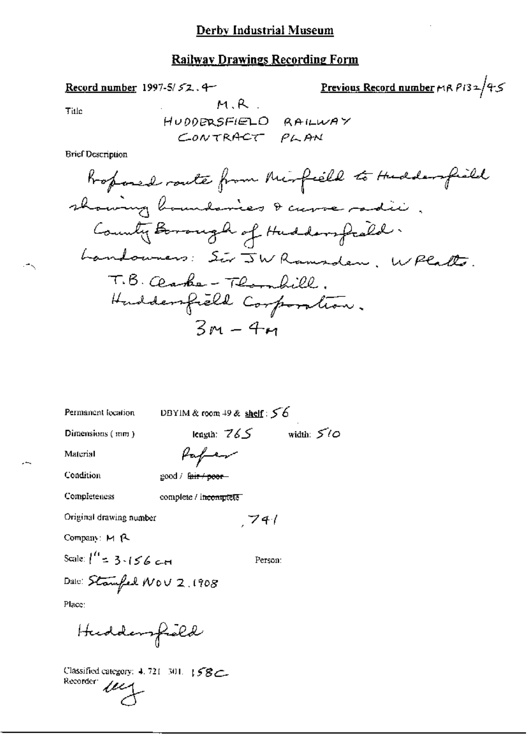Record number 1997-5/52.4-

<u>Previous Record number</u>  $r(RP)32/45$ 

Title

.∸k

 $\overline{\phantom{a}}$ 

HUDDERSFIELD RAILWAY CONTRACT PLAN

 $M, R$ .

**Brief Description** 

| Permanent location                  |                                     | DBYIM & room 49 & shelf: $56$ |              |
|-------------------------------------|-------------------------------------|-------------------------------|--------------|
| Dimensions (mm)                     |                                     | leagth: $765$                 | width: $5/0$ |
| Material                            | Haper                               |                               |              |
| Condition                           | good / f <del>air / poor</del>      |                               |              |
| Completeness                        | complete / i <del>ncomplete -</del> |                               |              |
| Original drawing number             |                                     | 74/                           |              |
| Company: M R                        |                                     |                               |              |
| Scale: $\binom{n}{2}$ = 3 = 156 c.m |                                     | Person:                       |              |
| Date: Stamfel NOV 2. 1908           |                                     |                               |              |
| Place:                              |                                     |                               |              |
| Huddersfield                        |                                     |                               |              |

Classified category: 4.721-301. 158 Recorder *ULL*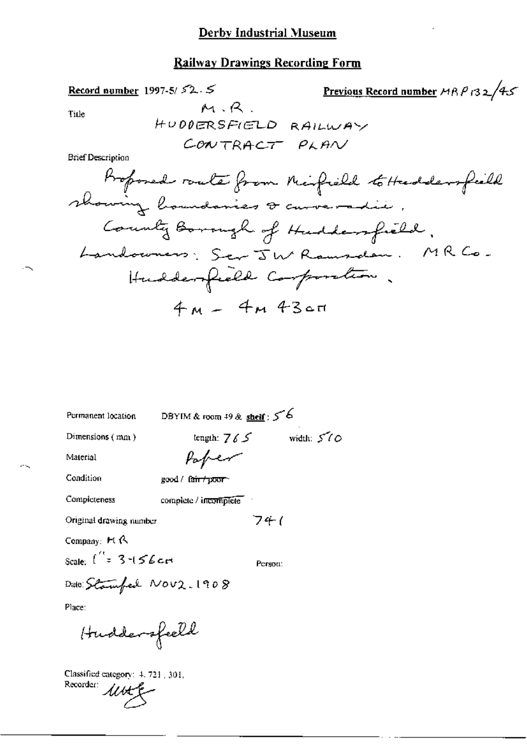Title

Previous Record number 
$$
MBP
$$
  $132/45$ 

HUDDERSFIELD RAILWAY CONTRACT PLAN

 $M, R$ .

**Brief Description** 

Record number 1997-5/ $\sqrt{2}$ .  $\leq$ 

Permanent location

DBYIM & room  $49$  & shell :  $56$ 

Dimensions (mm)

tength:  $765$  width:  $570$ Paper

Condition

Completeness

Material

good / fair / poor

complete / incomplete

Original drawing number

Company: Ft R

Scale:  $\int_{0}^{t} z 3 + 56c$ 

Person:

 $741$ 

Date: Stamfed Nov2.1908

Place:

Huddersfeeld

Classified category: 4, 721, 301, Recorder *lutt*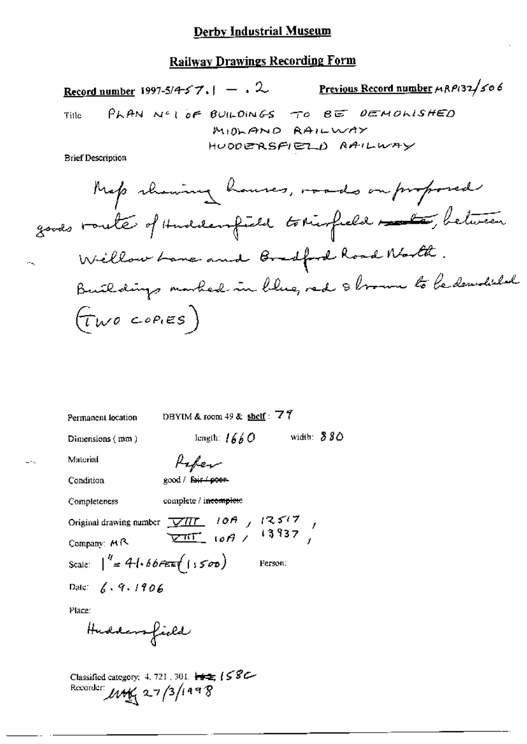#### Derby Industrial Museum

### **Railway Drawings Recording Form**

Previous Record number MRP132/506 Record number 1997-5/4-5  $7.1 - .2$ PLAN NOT OF BUILDINGS TO BE DEMONISHED Title MIDLAND RAILWAY HUODERSFIELD RAILWAY **Brief Description** Map channing houses, made on proposed goods route of Huddenfield tomorfield and between Willow Lane and Bradford Road North. Buildings marked in blue, red 8 brown to be demobiled  $(\tau_{wo}$  copies)

DBYIM & room 49 & shelf :  $\overline{77}$ Permanent location length:  $1660$  width:  $880$ Dimensions (mm) Material Paper good / fair / poer Condition Completeness complete / incomplete Original drawing number  $\frac{\sqrt{H}\Gamma}{\sqrt{H}\Gamma}$  10A  $/$  12517<br>Company: MR  $\frac{\sqrt{H}\Gamma}{\sqrt{H}\Gamma}$  10A  $/$  13937 Company: MR Scale:  $\int_{-\pi}^{\pi} 4\cdot 66\pi \pi f(\cdot)$ Person: Date:  $\angle 4.9.1906$ Place: Huddensfield Classified category: 4, 721, 301,  $\frac{1}{16}$   $\frac{1}{26}$   $\frac{1}{6}$   $\frac{1}{6}$   $\frac{1}{6}$ 

Recorder:  $M_{\frac{M}{2}}$  27/3/1998